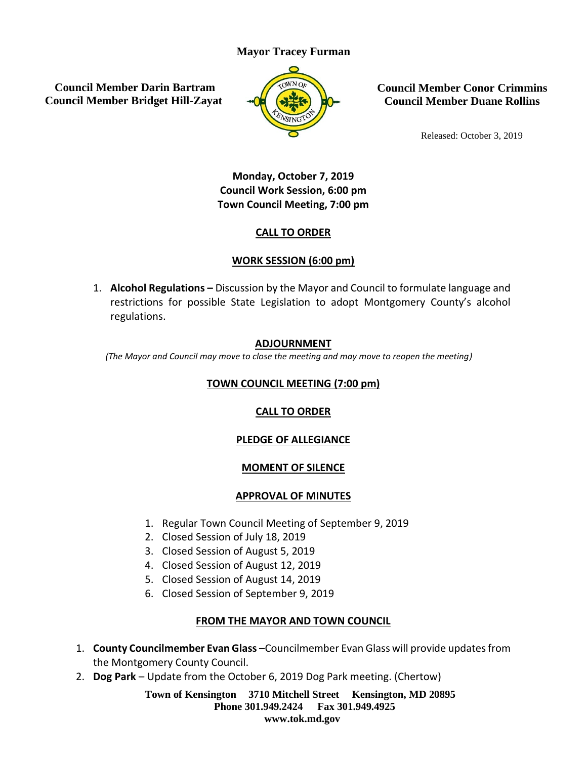### **Mayor Tracey Furman**

**Council Member Darin Bartram Council Member Bridget Hill-Zayat**



**Council Member Conor Crimmins Council Member Duane Rollins**

Released: October 3, 2019

# **Monday, October 7, 2019 Council Work Session, 6:00 pm Town Council Meeting, 7:00 pm**

#### **CALL TO ORDER**

## **WORK SESSION (6:00 pm)**

1. **Alcohol Regulations –** Discussion by the Mayor and Council to formulate language and restrictions for possible State Legislation to adopt Montgomery County's alcohol regulations.

#### **ADJOURNMENT**

*(The Mayor and Council may move to close the meeting and may move to reopen the meeting)*

# **TOWN COUNCIL MEETING (7:00 pm)**

#### **CALL TO ORDER**

#### **PLEDGE OF ALLEGIANCE**

#### **MOMENT OF SILENCE**

#### **APPROVAL OF MINUTES**

- 1. Regular Town Council Meeting of September 9, 2019
- 2. Closed Session of July 18, 2019
- 3. Closed Session of August 5, 2019
- 4. Closed Session of August 12, 2019
- 5. Closed Session of August 14, 2019
- 6. Closed Session of September 9, 2019

#### **FROM THE MAYOR AND TOWN COUNCIL**

- 1. **County Councilmember Evan Glass** –Councilmember Evan Glass will provide updates from the Montgomery County Council.
- 2. **Dog Park** Update from the October 6, 2019 Dog Park meeting. (Chertow)

**Town of Kensington 3710 Mitchell Street Kensington, MD 20895 Phone 301.949.2424 Fax 301.949.4925 www.tok.md.gov**